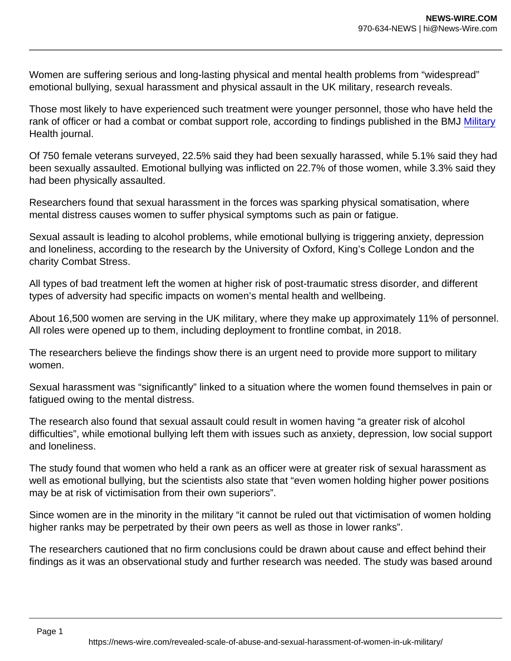Women are suffering serious and long-lasting physical and mental health problems from "widespread" emotional bullying, sexual harassment and physical assault in the UK military, research reveals.

Those most likely to have experienced such treatment were younger personnel, those who have held the rank of officer or had a combat or combat support role, according to findings published in the BMJ [Military](https://www.theguardian.com/uk/military) Health journal.

Of 750 female veterans surveyed, 22.5% said they had been sexually harassed, while 5.1% said they had been sexually assaulted. Emotional bullying was inflicted on 22.7% of those women, while 3.3% said they had been physically assaulted.

Researchers found that sexual harassment in the forces was sparking physical somatisation, where mental distress causes women to suffer physical symptoms such as pain or fatigue.

Sexual assault is leading to alcohol problems, while emotional bullying is triggering anxiety, depression and loneliness, according to the research by the University of Oxford, King's College London and the charity Combat Stress.

All types of bad treatment left the women at higher risk of post-traumatic stress disorder, and different types of adversity had specific impacts on women's mental health and wellbeing.

About 16,500 women are serving in the UK military, where they make up approximately 11% of personnel. All roles were opened up to them, including deployment to frontline combat, in 2018.

The researchers believe the findings show there is an urgent need to provide more support to military women.

Sexual harassment was "significantly" linked to a situation where the women found themselves in pain or fatigued owing to the mental distress.

The research also found that sexual assault could result in women having "a greater risk of alcohol difficulties", while emotional bullying left them with issues such as anxiety, depression, low social support and loneliness.

The study found that women who held a rank as an officer were at greater risk of sexual harassment as well as emotional bullying, but the scientists also state that "even women holding higher power positions may be at risk of victimisation from their own superiors".

Since women are in the minority in the military "it cannot be ruled out that victimisation of women holding higher ranks may be perpetrated by their own peers as well as those in lower ranks".

The researchers cautioned that no firm conclusions could be drawn about cause and effect behind their findings as it was an observational study and further research was needed. The study was based around